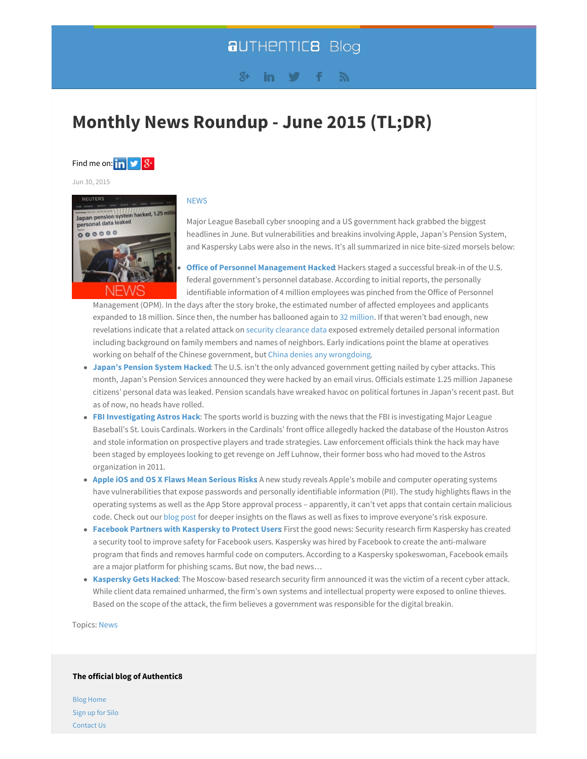## **aUTHENTIC8 Blog**

#### $8+$ in.

# **Monthly News Roundup - June 2015 (TL;DR)**



Jun 30, 2015



#### **NEWS**

Major League Baseball cyber snooping and a US government hack grabbed the biggest headlines in June. But vulnerabilities and breakins involving Apple, Japan's Pension System, and Kaspersky Labs were also in the news. It's all summarized in nice bite-sized morsels below:

**Office of Personnel Management Hacked** Hackers staged a successful break-in of the U.S. federal government's personnel database. According to initial reports, the personally identifiable information of 4 million employees was pinched from the Office of Personnel

Management (OPM). In the days after the story broke, the estimated number of affected employees and applicants expanded to 18 million. Since then, the number has ballooned again to 32 million. If that weren't bad enough, new revelations indicate that a related attack on security clearance data exposed extremely detailed personal information including background on family members and names of neighbors. Early indications point the blame at operatives working on behalf of the Chinese government, but China denies any wrongdoing.

- **Japan's Pension System Hacked**: The U.S. isn't the only advanced government getting nailed by cyber attacks. This month, Japan's Pension Services announced they were hacked by an email virus. Officials estimate 1.25 million Japanese citizens' personal data was leaked. Pension scandals have wreaked havoc on political fortunes in Japan's recent past. But as of now, no heads have rolled.
- **FBI Investigating Astros Hack**: The sports world is buzzing with the news that the FBI is investigating Major League Baseball's St. Louis Cardinals. Workers in the Cardinals' front office allegedly hacked the database of the Houston Astros and stole information on prospective players and trade strategies. Law enforcement officials think the hack may have been staged by employees looking to get revenge on Jeff Luhnow, their former boss who had moved to the Astros organization in 2011.
- **Apple iOS and OS X Flaws Mean Serious Risks**: A new study reveals Apple's mobile and computer operating systems have vulnerabilities that expose passwords and personally identifiable information (PII). The study highlights flaws in the operating systems as well as the App Store approval process – apparently, it can't vet apps that contain certain malicious code. Check out our blog post for deeper insights on the flaws as well as fixes to improve everyone's risk exposure.
- **Facebook Partners with Kaspersky to Protect Users**: First the good news: Security research firm Kaspersky has created a security tool to improve safety for Facebook users. Kaspersky was hired by Facebook to create the anti-malware program that finds and removes harmful code on computers. According to a Kaspersky spokeswoman, Facebook emails are a major platform for phishing scams. But now, the bad news…
- **Kaspersky Gets Hacked**: The Moscow-based research security firm announced it was the victim of a recent cyber attack. While client data remained unharmed, the firm's own systems and intellectual property were exposed to online thieves. Based on the scope of the attack, the firm believes a government was responsible for the digital breakin.

Topics: News

#### **The official blog of Authentic8**

Blog Home Sign up for Silo Contact Us